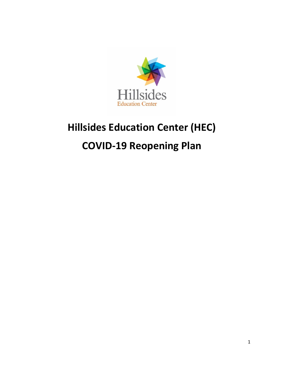

# **Hillsides Education Center (HEC)**

# **COVID-19 Reopening Plan**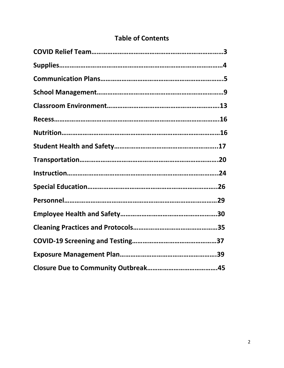## **Table of Contents**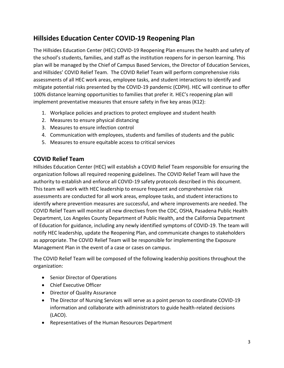## **Hillsides Education Center COVID-19 Reopening Plan**

The Hillsides Education Center (HEC) COVID-19 Reopening Plan ensures the health and safety of the school's students, families, and staff as the institution reopens for in-person learning. This plan will be managed by the Chief of Campus Based Services, the Director of Education Services, and Hillsides' COVID Relief Team. The COVID Relief Team will perform comprehensive risks assessments of all HEC work areas, employee tasks, and student interactions to identify and mitigate potential risks presented by the COVID-19 pandemic (CDPH). HEC will continue to offer 100% distance learning opportunities to families that prefer it. HEC's reopening plan will implement preventative measures that ensure safety in five key areas (K12):

- 1. Workplace policies and practices to protect employee and student health
- 2. Measures to ensure physical distancing
- 3. Measures to ensure infection control
- 4. Communication with employees, students and families of students and the public
- 5. Measures to ensure equitable access to critical services

## **COVID Relief Team**

Hillsides Education Center (HEC) will establish a COVID Relief Team responsible for ensuring the organization follows all required reopening guidelines. The COVID Relief Team will have the authority to establish and enforce all COVID-19 safety protocols described in this document. This team will work with HEC leadership to ensure frequent and comprehensive risk assessments are conducted for all work areas, employee tasks, and student interactions to identify where prevention measures are successful, and where improvements are needed. The COVID Relief Team will monitor all new directives from the CDC, OSHA, Pasadena Public Health Department, Los Angeles County Department of Public Health, and the California Department of Education for guidance, including any newly identified symptoms of COVID-19. The team will notify HEC leadership, update the Reopening Plan, and communicate changes to stakeholders as appropriate. The COVID Relief Team will be responsible for implementing the Exposure Management Plan in the event of a case or cases on campus.

The COVID Relief Team will be composed of the following leadership positions throughout the organization:

- Senior Director of Operations
- Chief Executive Officer
- Director of Quality Assurance
- The Director of Nursing Services will serve as a point person to coordinate COVID-19 information and collaborate with administrators to guide health-related decisions (LACO).
- Representatives of the Human Resources Department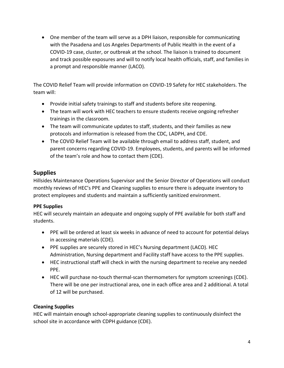One member of the team will serve as a DPH liaison, responsible for communicating with the Pasadena and Los Angeles Departments of Public Health in the event of a COVID-19 case, cluster, or outbreak at the school. The liaison is trained to document and track possible exposures and will to notify local health officials, staff, and families in a prompt and responsible manner (LACO).

The COVID Relief Team will provide information on COVID-19 Safety for HEC stakeholders. The team will:

- Provide initial safety trainings to staff and students before site reopening.
- The team will work with HEC teachers to ensure students receive ongoing refresher trainings in the classroom.
- The team will communicate updates to staff, students, and their families as new protocols and information is released from the CDC, LADPH, and CDE.
- The COVID Relief Team will be available through email to address staff, student, and parent concerns regarding COVID-19. Employees, students, and parents will be informed of the team's role and how to contact them (CDE).

## **Supplies**

Hillsides Maintenance Operations Supervisor and the Senior Director of Operations will conduct monthly reviews of HEC's PPE and Cleaning supplies to ensure there is adequate inventory to protect employees and students and maintain a sufficiently sanitized environment.

## **PPE Supplies**

HEC will securely maintain an adequate and ongoing supply of PPE available for both staff and students.

- PPE will be ordered at least six weeks in advance of need to account for potential delays in accessing materials (CDE).
- PPE supplies are securely stored in HEC's Nursing department (LACO). HEC Administration, Nursing department and Facility staff have access to the PPE supplies.
- HEC instructional staff will check in with the nursing department to receive any needed PPE.
- HEC will purchase no-touch thermal-scan thermometers for symptom screenings (CDE). There will be one per instructional area, one in each office area and 2 additional. A total of 12 will be purchased.

## <span id="page-3-0"></span>**Cleaning Supplies**

HEC will maintain enough school-appropriate cleaning supplies to continuously disinfect the school site in accordance with CDPH guidance (CDE).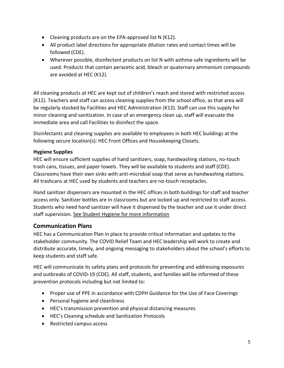- Cleaning products are on the EPA-approved list N (K12).
- All product label directions for appropriate dilution rates and contact times will be followed (CDE).
- Wherever possible, disinfectant products on list N with asthma-safe ingredients will be used. Products that contain peracetic acid, bleach or quaternary ammonium compounds are avoided at HEC (K12).

All cleaning products at HEC are kept out of children's reach and stored with restricted access (K12). Teachers and staff can access cleaning supplies from the school office, as that area will be regularly stocked by Facilities and HEC Administration (K12). Staff can use this supply for minor cleaning and sanitization. In case of an emergency clean up, staff will evacuate the immediate area and call Facilities to disinfect the space.

Disinfectants and cleaning supplies are available to employees in both HEC buildings at the following secure location(s): HEC Front Offices and Housekeeping Closets.

#### **Hygiene Supplies**

HEC will ensure sufficient supplies of hand sanitizers, soap, handwashing stations, no-touch trash cans, tissues, and paper towels. They will be available to students and staff (CDE). Classrooms have their own sinks with anti-microbial soap that serve as handwashing stations. All trashcans at HEC used by students and teachers are no-touch receptacles.

Hand sanitizer dispensers are mounted in the HEC offices in both buildings for staff and teacher access only. Sanitizer bottles are in classrooms but are locked up and restricted to staff access. Students who need hand sanitizer will have it dispensed by the teacher and use it under direct staff supervision. [See Student Hygiene for more information](#page-18-0) 

## <span id="page-4-0"></span>**Communication Plans**

HEC has a Communication Plan in place to provide critical information and updates to the stakeholder community. The COVID Relief Team and HEC leadership will work to create and distribute accurate, timely, and ongoing messaging to stakeholders about the school's efforts to keep students and staff safe.

HEC will communicate its safety plans and protocols for preventing and addressing exposures and outbreaks of COVID-19 (CDE). All staff, students, and families will be informed of these prevention protocols including but not limited to:

- Proper use of PPE in accordance with CDPH Guidance for the Use of Face Coverings
- Personal hygiene and cleanliness
- HEC's transmission prevention and physical distancing measures
- HEC's Cleaning schedule and Sanitization Protocols
- Restricted campus access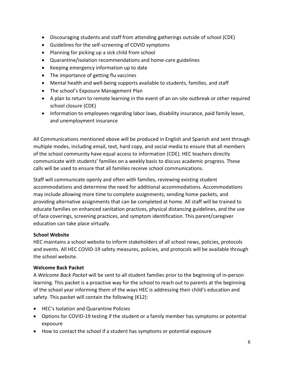- Discouraging students and staff from attending gatherings outside of school (CDE)
- Guidelines for the self-screening of COVID symptoms
- Planning for picking up a sick child from school
- Quarantine/isolation recommendations and home-care guidelines
- Keeping emergency information up to date
- The importance of getting flu vaccines
- Mental health and well-being supports available to students, families, and staff
- The school's Exposure Management Plan
- A plan to return to remote learning in the event of an on-site outbreak or other required school closure (CDE)
- Information to employees regarding labor laws, disability insurance, paid family leave, and unemployment insurance

All Communications mentioned above will be produced in English and Spanish and sent through multiple modes, including email, text, hard copy, and social media to ensure that all members of the school community have equal access to information (CDE). HEC teachers directly communicate with students' families on a weekly basis to discuss academic progress. These calls will be used to ensure that all families receive school communications.

Staff will communicate openly and often with families, reviewing existing student accommodations and determine the need for additional accommodations. Accommodations may include allowing more time to complete assignments, sending home packets, and providing alternative assignments that can be completed at home. All staff will be trained to educate families on enhanced sanitation practices, physical distancing guidelines, and the use of face coverings, screening practices, and symptom identification. This parent/caregiver education can take place virtually.

#### **School Website**

HEC maintains a school website to inform stakeholders of all school news, policies, protocols and events. All HEC COVID-19 safety measures, policies, and protocols will be available through the school website.

#### **Welcome Back Packet**

A *Welcome Back Packet* will be sent to all student families prior to the beginning of in-person learning. This packet is a proactive way for the school to reach out to parents at the beginning of the school year informing them of the ways HEC is addressing their child's education and safety. This packet will contain the following (K12):

- HEC's Isolation and Quarantine Policies
- Options for COVID-19 testing if the student or a family member has symptoms or potential exposure
- How to contact the school if a student has symptoms or potential exposure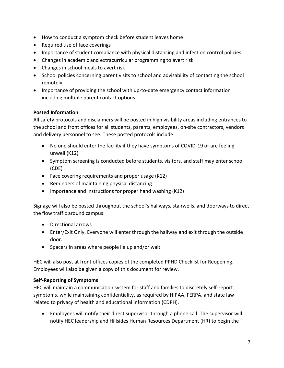- How to conduct a symptom check before student leaves home
- Required use of face coverings
- Importance of student compliance with physical distancing and infection control policies
- Changes in academic and extracurricular programming to avert risk
- Changes in school meals to avert risk
- School policies concerning parent visits to school and advisability of contacting the school remotely
- Importance of providing the school with up-to-date emergency contact information including multiple parent contact options

#### **Posted Information**

All safety protocols and disclaimers will be posted in high visibility areas including entrances to the school and front offices for all students, parents, employees, on-site contractors, vendors and delivery personnel to see. These posted protocols include:

- No one should enter the facility if they have symptoms of COVID-19 or are feeling unwell (K12)
- Symptom screening is conducted before students, visitors, and staff may enter school (CDE)
- Face covering requirements and proper usage (K12)
- Reminders of maintaining physical distancing
- Importance and instructions for proper hand washing (K12)

Signage will also be posted throughout the school's hallways, stairwells, and doorways to direct the flow traffic around campus:

- Directional arrows
- Enter/Exit Only. Everyone will enter through the hallway and exit through the outside door.
- Spacers in areas where people lie up and/or wait

HEC will also post at front offices copies of the completed PPHD Checklist for Reopening. Employees will also be given a copy of this document for review.

#### **Self-Reporting of Symptoms**

HEC will maintain a communication system for staff and families to discretely self-report symptoms, while maintaining confidentiality, as required by HIPAA, FERPA, and state law related to privacy of health and educational information (CDPH).

 Employees will notify their direct supervisor through a phone call. The supervisor will notify HEC leadership and Hillsides Human Resources Department (HR) to begin the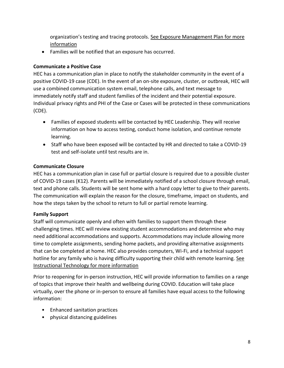organization's testing and tracing protocols. [See Exposure Management Plan for more](#page-38-0)  [information](#page-38-0)

Families will be notified that an exposure has occurred.

#### **Communicate a Positive Case**

HEC has a communication plan in place to notify the stakeholder community in the event of a positive COVID-19 case (CDE). In the event of an on-site exposure, cluster, or outbreak, HEC will use a combined communication system email, telephone calls, and text message to immediately notify staff and student families of the incident and their potential exposure. Individual privacy rights and PHI of the Case or Cases will be protected in these communications (CDE).

- Families of exposed students will be contacted by HEC Leadership. They will receive information on how to access testing, conduct home isolation, and continue remote learning.
- Staff who have been exposed will be contacted by HR and directed to take a COVID-19 test and self-isolate until test results are in.

#### **Communicate Closure**

HEC has a communication plan in case full or partial closure is required due to a possible cluster of COVID-19 cases (K12). Parents will be immediately notified of a school closure through email, text and phone calls. Students will be sent home with a hard copy letter to give to their parents. The communication will explain the reason for the closure, timeframe, impact on students, and how the steps taken by the school to return to full or partial remote learning.

#### **Family Support**

Staff will communicate openly and often with families to support them through these challenging times. HEC will review existing student accommodations and determine who may need additional accommodations and supports. Accommodations may include allowing more time to complete assignments, sending home packets, and providing alternative assignments that can be completed at home. HEC also provides computers, Wi-Fi, and a technical support hotline for any family who is having difficulty supporting their child with remote learning. [See](#page-24-0)  [Instructional Technology for more information](#page-24-0)

Prior to reopening for in-person instruction, HEC will provide information to families on a range of topics that improve their health and wellbeing during COVID. Education will take place virtually, over the phone or in-person to ensure all families have equal access to the following information:

- Enhanced sanitation practices
- physical distancing guidelines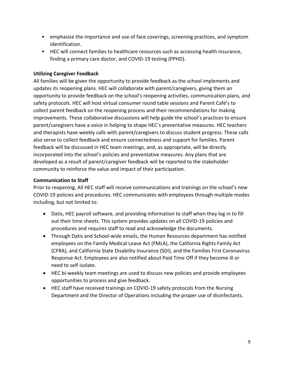- emphasize the importance and use of face coverings, screening practices, and symptom identification.
- HEC will connect families to healthcare resources such as accessing health insurance, finding a primary care doctor, and COVID-19 testing (PPHD).

#### **Utilizing Caregiver Feedback**

All families will be given the opportunity to provide feedback as the school implements and updates its reopening plans. HEC will collaborate with parent/caregivers, giving them an opportunity to provide feedback on the school's reopening activities, communication plans, and safety protocols. HEC will host virtual consumer round table sessions and Parent Café's to collect parent feedback on the reopening process and their recommendations for making improvements. These collaborative discussions will help guide the school's practices to ensure parent/caregivers have a voice in helping to shape HEC's preventative measures. HEC teachers and therapists have weekly calls with parent/caregivers to discuss student progress. These calls also serve to collect feedback and ensure connectedness and support for families. Parent feedback will be discussed in HEC team meetings, and, as appropriate, will be directly incorporated into the school's policies and preventative measures. Any plans that are developed as a result of parent/caregiver feedback will be reported to the stakeholder community to reinforce the value and impact of their participation.

#### <span id="page-8-0"></span>**Communication to Staff**

Prior to reopening, All HEC staff will receive communications and trainings on the school's new COVID-19 policies and procedures. HEC communicates with employees through multiple modes including, but not limited to:

- Datis, HEC payroll software, and providing information to staff when they log in to fill out their time sheets. This system provides updates on all COVID-19 policies and procedures and requires staff to read and acknowledge the documents.
- Through Datis and School-wide emails, the Human Resources department has notified employees on the Family Medical Leave Act (FMLA), the California Rights Family Act (CFRA), and California State Disability Insurance (SDI), and the Families First Coronavirus Response Act. Employees are also notified about Paid Time Off if they become ill or need to self-isolate.
- HEC bi-weekly team meetings are used to discuss new policies and provide employees opportunities to process and give feedback.
- HEC staff have received trainings on COVID-19 safety protocols from the Nursing Department and the Director of Operations including the proper use of disinfectants.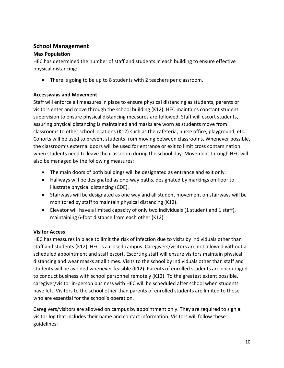## **School Management**

#### **Max Population**

HEC has determined the number of staff and students in each building to ensure effective physical distancing:

There is going to be up to 8 students with 2 teachers per classroom.

#### <span id="page-9-0"></span>**Accessways and Movement**

Staff will enforce all measures in place to ensure physical distancing as students, parents or visitors enter and move through the school building (K12). HEC maintains constant student supervision to ensure physical distancing measures are followed. Staff will escort students, assuring physical distancing is maintained and masks are worn as students move from classrooms to other school locations (K12) such as the cafeteria, nurse office, playground, etc. Cohorts will be used to prevent students from moving between classrooms. Whenever possible, the classroom's external doors will be used for entrance or exit to limit cross contamination when students need to leave the classroom during the school day. Movement through HEC will also be managed by the following measures:

- The main doors of both buildings will be designated as entrance and exit only.
- Hallways will be designated as one-way paths, designated by markings on floor to illustrate physical distancing (CDE).
- Stairways will be designated as one way and all student movement on stairways will be monitored by staff to maintain physical distancing (K12).
- Elevator will have a limited capacity of only two individuals (1 student and 1 staff), maintaining 6-foot distance from each other (K12).

#### **Visitor Access**

HEC has measures in place to limit the risk of infection due to visits by individuals other than staff and students (K12). HEC is a closed campus. Caregivers/visitors are not allowed without a scheduled appointment and staff escort. Escorting staff will ensure visitors maintain physical distancing and wear masks at all times. Visits to the school by individuals other than staff and students will be avoided whenever feasible (K12). Parents of enrolled students are encouraged to conduct business with school personnel remotely (K12). To the greatest extent possible, caregiver/visitor in-person business with HEC will be scheduled after school when students have left. Visitors to the school other than parents of enrolled students are limited to those who are essential for the school's operation.

Caregivers/visitors are allowed on campus by appointment only. They are required to sign a visitor log that includes their name and contact information. Visitors will follow these guidelines: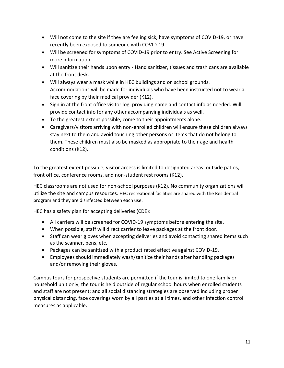- Will not come to the site if they are feeling sick, have symptoms of COVID-19, or have recently been exposed to someone with COVID-19.
- Will be screened for symptoms of COVID-19 prior to entry. [See Active Screening for](#page-37-0)  [more information](#page-37-0)
- Will sanitize their hands upon entry Hand sanitizer, tissues and trash cans are available at the front desk.
- Will always wear a mask while in HEC buildings and on school grounds. Accommodations will be made for individuals who have been instructed not to wear a face covering by their medical provider (K12).
- Sign in at the front office visitor log, providing name and contact info as needed. Will provide contact info for any other accompanying individuals as well.
- To the greatest extent possible, come to their appointments alone.
- Caregivers/visitors arriving with non-enrolled children will ensure these children always stay next to them and avoid touching other persons or items that do not belong to them. These children must also be masked as appropriate to their age and health conditions (K12).

To the greatest extent possible, visitor access is limited to designated areas: outside patios, front office, conference rooms, and non-student rest rooms (K12).

HEC classrooms are not used for non-school purposes (K12). No community organizations will utilize the site and campus resources. HEC recreational facilities are shared with the Residential program and they are disinfected between each use.

HEC has a safety plan for accepting deliveries (CDE):

- All carriers will be screened for COVID-19 symptoms before entering the site.
- When possible, staff will direct carrier to leave packages at the front door.
- Staff can wear gloves when accepting deliveries and avoid contacting shared items such as the scanner, pens, etc.
- Packages can be sanitized with a product rated effective against COVID-19.
- Employees should immediately wash/sanitize their hands after handling packages and/or removing their gloves.

Campus tours for prospective students are permitted if the tour is limited to one family or household unit only; the tour is held outside of regular school hours when enrolled students and staff are not present; and all social distancing strategies are observed including proper physical distancing, face coverings worn by all parties at all times, and other infection control measures as applicable.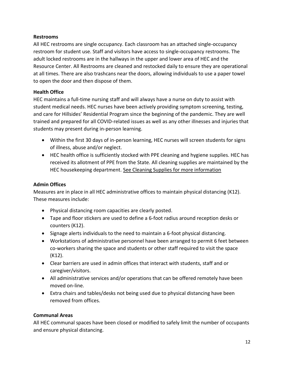#### **Restrooms**

All HEC restrooms are single occupancy. Each classroom has an attached single-occupancy restroom for student use. Staff and visitors have access to single-occupancy restrooms. The adult locked restrooms are in the hallways in the upper and lower area of HEC and the Resource Center. All Restrooms are cleaned and restocked daily to ensure they are operational at all times. There are also trashcans near the doors, allowing individuals to use a paper towel to open the door and then dispose of them.

#### **Health Office**

HEC maintains a full-time nursing staff and will always have a nurse on duty to assist with student medical needs. HEC nurses have been actively providing symptom screening, testing, and care for Hillsides' Residential Program since the beginning of the pandemic. They are well trained and prepared for all COVID-related issues as well as any other illnesses and injuries that students may present during in-person learning.

- Within the first 30 days of in-person learning, HEC nurses will screen students for signs of illness, abuse and/or neglect.
- HEC health office is sufficiently stocked with PPE cleaning and hygiene supplies. HEC has received its allotment of PPE from the State. All cleaning supplies are maintained by the HEC housekeeping department. [See Cleaning Supplies for more information](#page-3-0)

#### **Admin Offices**

Measures are in place in all HEC administrative offices to maintain physical distancing (K12). These measures include:

- Physical distancing room capacities are clearly posted.
- Tape and floor stickers are used to define a 6-foot radius around reception desks or counters (K12).
- Signage alerts individuals to the need to maintain a 6-foot physical distancing.
- Workstations of administrative personnel have been arranged to permit 6 feet between co-workers sharing the space and students or other staff required to visit the space (K12).
- Clear barriers are used in admin offices that interact with students, staff and or caregiver/visitors.
- All administrative services and/or operations that can be offered remotely have been moved on-line.
- Extra chairs and tables/desks not being used due to physical distancing have been removed from offices.

#### **Communal Areas**

All HEC communal spaces have been closed or modified to safely limit the number of occupants and ensure physical distancing.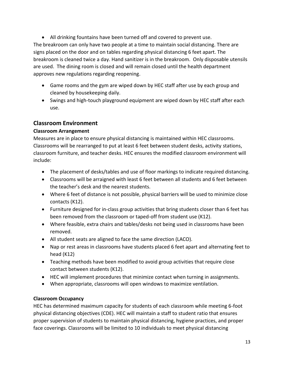All drinking fountains have been turned off and covered to prevent use. The breakroom can only have two people at a time to maintain social distancing. There are signs placed on the door and on tables regarding physical distancing 6 feet apart. The breakroom is cleaned twice a day. Hand sanitizer is in the breakroom. Only disposable utensils are used. The dining room is closed and will remain closed until the health department approves new regulations regarding reopening.

- Game rooms and the gym are wiped down by HEC staff after use by each group and cleaned by housekeeping daily.
- Swings and high-touch playground equipment are wiped down by HEC staff after each use.

## **Classroom Environment**

#### **Classroom Arrangement**

Measures are in place to ensure physical distancing is maintained within HEC classrooms. Classrooms will be rearranged to put at least 6 feet between student desks, activity stations, classroom furniture, and teacher desks. HEC ensures the modified classroom environment will include:

- The placement of desks/tables and use of floor markings to indicate required distancing.
- Classrooms will be arraigned with least 6 feet between all students and 6 feet between the teacher's desk and the nearest students.
- Where 6 feet of distance is not possible, physical barriers will be used to minimize close contacts (K12).
- Furniture designed for in-class group activities that bring students closer than 6 feet has been removed from the classroom or taped-off from student use (K12).
- Where feasible, extra chairs and tables/desks not being used in classrooms have been removed.
- All student seats are aligned to face the same direction (LACO).
- Nap or rest areas in classrooms have students placed 6 feet apart and alternating feet to head (K12)
- Teaching methods have been modified to avoid group activities that require close contact between students (K12).
- HEC will implement procedures that minimize contact when turning in assignments.
- When appropriate, classrooms will open windows to maximize ventilation.

## **Classroom Occupancy**

HEC has determined maximum capacity for students of each classroom while meeting 6-foot physical distancing objectives (CDE). HEC will maintain a staff to student ratio that ensures proper supervision of students to maintain physical distancing, hygiene practices, and proper face coverings. Classrooms will be limited to 10 individuals to meet physical distancing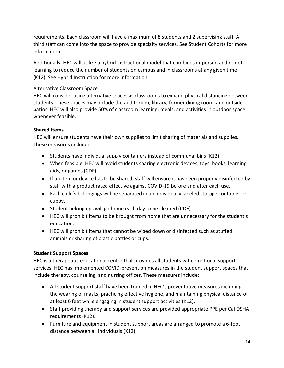requirements. Each classroom will have a maximum of 8 students and 2 supervising staff. A third staff can come into the space to provide specialty services. [See Student Cohorts for more](#page-14-0)  [information.](#page-14-0)

Additionally, HEC will utilize a hybrid instructional model that combines in-person and remote learning to reduce the number of students on campus and in classrooms at any given time (K12). [See Hybrid Instruction for more information](#page-23-0)

#### Alternative Classroom Space

HEC will consider using alternative spaces as classrooms to expand physical distancing between students. These spaces may include the auditorium, library, former dining room, and outside patios. HEC will also provide 50% of classroom learning, meals, and activities in outdoor space whenever feasible.

#### **Shared Items**

HEC will ensure students have their own supplies to limit sharing of materials and supplies. These measures include:

- $\bullet$  Students have individual supply containers instead of communal bins (K12).
- When feasible, HEC will avoid students sharing electronic devices, toys, books, learning aids, or games (CDE).
- If an item or device has to be shared, staff will ensure it has been properly disinfected by staff with a product rated effective against COVID-19 before and after each use.
- Each child's belongings will be separated in an individually labeled storage container or cubby.
- Student belongings will go home each day to be cleaned (CDE).
- HEC will prohibit items to be brought from home that are unnecessary for the student's education.
- HEC will prohibit items that cannot be wiped down or disinfected such as stuffed animals or sharing of plastic bottles or cups.

#### **Student Support Spaces**

HEC is a therapeutic educational center that provides all students with emotional support services. HEC has implemented COVID-prevention measures in the student support spaces that include therapy, counseling, and nursing offices. These measures include:

- All student support staff have been trained in HEC's preventative measures including the wearing of masks, practicing effective hygiene, and maintaining physical distance of at least 6 feet while engaging in student support activities (K12).
- Staff providing therapy and support services are provided appropriate PPE per Cal OSHA requirements (K12).
- Furniture and equipment in student support areas are arranged to promote a 6-foot distance between all individuals (K12).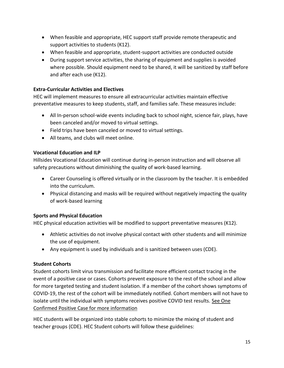- When feasible and appropriate, HEC support staff provide remote therapeutic and support activities to students (K12).
- When feasible and appropriate, student-support activities are conducted outside
- During support service activities, the sharing of equipment and supplies is avoided where possible. Should equipment need to be shared, it will be sanitized by staff before and after each use (K12).

### **Extra-Curricular Activities and Electives**

HEC will implement measures to ensure all extracurricular activities maintain effective preventative measures to keep students, staff, and families safe. These measures include:

- All In-person school-wide events including back to school night, science fair, plays, have been canceled and/or moved to virtual settings.
- Field trips have been canceled or moved to virtual settings.
- All teams, and clubs will meet online.

#### **Vocational Education and ILP**

Hillsides Vocational Education will continue during in-person instruction and will observe all safety precautions without diminishing the quality of work-based learning.

- Career Counseling is offered virtually or in the classroom by the teacher. It is embedded into the curriculum.
- Physical distancing and masks will be required without negatively impacting the quality of work-based learning

## **Sports and Physical Education**

HEC physical education activities will be modified to support preventative measures (K12).

- Athletic activities do not involve physical contact with other students and will minimize the use of equipment.
- Any equipment is used by individuals and is sanitized between uses (CDE).

#### <span id="page-14-0"></span>**Student Cohorts**

Student cohorts limit virus transmission and facilitate more efficient contact tracing in the event of a positive case or cases. Cohorts prevent exposure to the rest of the school and allow for more targeted testing and student isolation. If a member of the cohort shows symptoms of COVID-19, the rest of the cohort will be immediately notified. Cohort members will not have to isolate until the individual with symptoms receives positive COVID test results. See One Confirmed Positive Case for more information

HEC students will be organized into stable cohorts to minimize the mixing of student and teacher groups (CDE). HEC Student cohorts will follow these guidelines: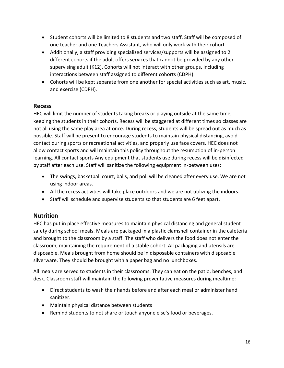- Student cohorts will be limited to 8 students and two staff. Staff will be composed of one teacher and one Teachers Assistant, who will only work with their cohort
- Additionally, a staff providing specialized services/supports will be assigned to 2 different cohorts if the adult offers services that cannot be provided by any other supervising adult (K12). Cohorts will not interact with other groups, including interactions between staff assigned to different cohorts (CDPH).
- Cohorts will be kept separate from one another for special activities such as art, music, and exercise (CDPH).

#### **Recess**

HEC will limit the number of students taking breaks or playing outside at the same time, keeping the students in their cohorts. Recess will be staggered at different times so classes are not all using the same play area at once. During recess, students will be spread out as much as possible. Staff will be present to encourage students to maintain physical distancing, avoid contact during sports or recreational activities, and properly use face covers. HEC does not allow contact sports and will maintain this policy throughout the resumption of in-person learning. All contact sports Any equipment that students use during recess will be disinfected by staff after each use. Staff will sanitize the following equipment in-between uses:

- The swings, basketball court, balls, and poll will be cleaned after every use. We are not using indoor areas.
- All the recess activities will take place outdoors and we are not utilizing the indoors.
- Staff will schedule and supervise students so that students are 6 feet apart.

#### **Nutrition**

HEC has put in place effective measures to maintain physical distancing and general student safety during school meals. Meals are packaged in a plastic clamshell container in the cafeteria and brought to the classroom by a staff. The staff who delivers the food does not enter the classroom, maintaining the requirement of a stable cohort. All packaging and utensils are disposable. Meals brought from home should be in disposable containers with disposable silverware. They should be brought with a paper bag and no lunchboxes.

All meals are served to students in their classrooms. They can eat on the patio, benches, and desk. Classroom staff will maintain the following preventative measures during mealtime:

- Direct students to wash their hands before and after each meal or administer hand sanitizer.
- Maintain physical distance between students
- Remind students to not share or touch anyone else's food or beverages.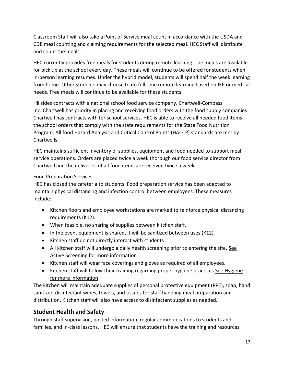Classroom Staff will also take a Point of Service meal count in accordance with the USDA and CDE meal counting and claiming requirements for the selected meal. HEC Staff will distribute and count the meals.

HEC currently provides free meals for students during remote learning. The meals are available for pick up at the school every day. These meals will continue to be offered for students when in-person learning resumes. Under the hybrid model, students will spend half the week learning from home. Other students may choose to do full time remote learning based on IEP or medical needs. Free meals will continue to be available for these students.

Hillsides contracts with a national school food service company, Chartwell-Compass Inc. Chartwell has priority in placing and receiving food orders with the food supply companies Chartwell has contracts with for school services. HEC is able to receive all needed food items the school orders that comply with the state requirements for the State Food Nutrition Program. All food Hazard Analysis and Critical Control Points (HACCP) standards are met by Chartwells.

HEC maintains sufficient inventory of supplies, equipment and food needed to support meal service operations. Orders are placed twice a week thorough our food service director from Chartwell and the deliveries of all food items are received twice a week.

#### Food Preparation Services

HEC has closed the cafeteria to students. Food preparation service has been adapted to maintain physical distancing and infection control between employees. These measures include:

- Kitchen floors and employee workstations are marked to reinforce physical distancing requirements (K12).
- When feasible, no sharing of supplies between kitchen staff.
- $\bullet$  In the event equipment is shared, it will be sanitized between uses (K12).
- Kitchen staff do not directly interact with students
- All kitchen staff will undergo a daily health screening prior to entering the site. [See](#page-37-0)  [Active Screening for more information](#page-37-0)
- Kitchen staff will wear face coverings and gloves as required of all employees.
- Kitchen staff will follow their training regarding proper hygiene practices See Hygiene [for more information](#page-31-0)

The kitchen will maintain adequate supplies of personal protective equipment (PPE), soap, hand sanitizer, disinfectant wipes, towels, and tissues for staff handling meal preparation and distribution. Kitchen staff will also have access to disinfectant supplies as needed.

## **Student Health and Safety**

Through staff supervision, posted information, regular communications to students and families, and in-class lessons, HEC will ensure that students have the training and resources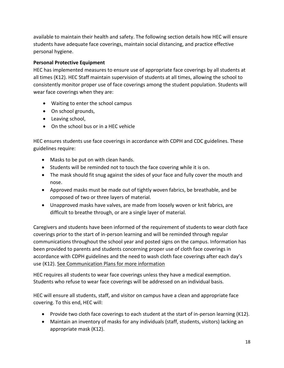available to maintain their health and safety. The following section details how HEC will ensure students have adequate face coverings, maintain social distancing, and practice effective personal hygiene.

#### **Personal Protective Equipment**

HEC has implemented measures to ensure use of appropriate face coverings by all students at all times (K12). HEC Staff maintain supervision of students at all times, allowing the school to consistently monitor proper use of face coverings among the student population. Students will wear face coverings when they are:

- Waiting to enter the school campus
- On school grounds,
- Leaving school,
- On the school bus or in a HEC vehicle

HEC ensures students use face coverings in accordance with CDPH and CDC guidelines. These guidelines require:

- Masks to be put on with clean hands.
- Students will be reminded not to touch the face covering while it is on.
- The mask should fit snug against the sides of your face and fully cover the mouth and nose.
- Approved masks must be made out of tightly woven fabrics, be breathable, and be composed of two or three layers of material.
- Unapproved masks have valves, are made from loosely woven or knit fabrics, are difficult to breathe through, or are a single layer of material.

Caregivers and students have been informed of the requirement of students to wear cloth face coverings prior to the start of in-person learning and will be reminded through regular communications throughout the school year and posted signs on the campus. Information has been provided to parents and students concerning proper use of cloth face coverings in accordance with CDPH guidelines and the need to wash cloth face coverings after each day's use (K12). [See Communication Plans for more information](#page-4-0)

HEC requires all students to wear face coverings unless they have a medical exemption. Students who refuse to wear face coverings will be addressed on an individual basis.

HEC will ensure all students, staff, and visitor on campus have a clean and appropriate face covering. To this end, HEC will:

- Provide two cloth face coverings to each student at the start of in-person learning (K12).
- Maintain an inventory of masks for any individuals (staff, students, visitors) lacking an appropriate mask (K12).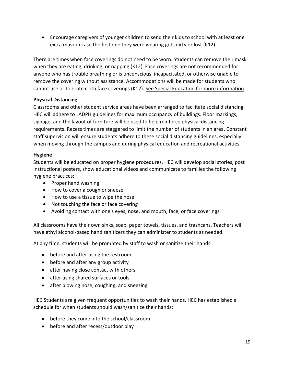Encourage caregivers of younger children to send their kids to school with at least one extra mask in case the first one they were wearing gets dirty or lost (K12).

There are times when face coverings do not need to be worn. Students can remove their mask when they are eating, drinking, or napping (K12). Face coverings are not recommended for anyone who has trouble breathing or is unconscious, incapacitated, or otherwise unable to remove the covering without assistance. Accommodations will be made for students who cannot use or tolerate cloth face coverings (K12). [See Special Education for more](#page-25-0) information

#### **Physical Distancing**

Classrooms and other student service areas have been arranged to facilitate social distancing. HEC will adhere to LADPH guidelines for maximum occupancy of buildings. Floor markings, signage, and the layout of furniture will be used to help reinforce physical distancing requirements. Recess times are staggered to limit the number of students in an area. Constant staff supervision will ensure students adhere to these social distancing guidelines, especially when moving through the campus and during physical education and recreational activities.

#### <span id="page-18-0"></span>**Hygiene**

Students will be educated on proper hygiene procedures. HEC will develop social stories, post instructional posters, show educational videos and communicate to families the following hygiene practices:

- Proper hand washing
- How to cover a cough or sneeze
- How to use a tissue to wipe the nose
- Not touching the face or face covering
- Avoiding contact with one's eyes, nose, and mouth, face, or face coverings

All classrooms have their own sinks, soap, paper towels, tissues, and trashcans. Teachers will have ethyl alcohol-based hand sanitizers they can administer to students as needed.

At any time, students will be prompted by staff to wash or sanitize their hands:

- before and after using the restroom
- before and after any group activity
- after having close contact with others
- after using shared surfaces or tools
- after blowing nose, coughing, and sneezing

HEC Students are given frequent opportunities to wash their hands. HEC has established a schedule for when students should wash/sanitize their hands:

- before they come into the school/classroom
- before and after recess/outdoor play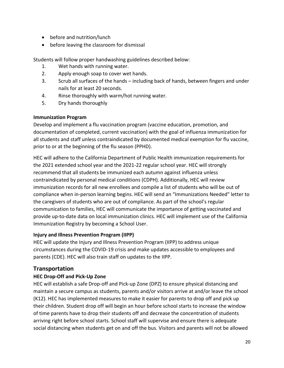- before and nutrition/lunch
- before leaving the classroom for dismissal

Students will follow proper handwashing guidelines described below:

- 1. Wet hands with running water.
- 2. Apply enough soap to cover wet hands.
- 3. Scrub all surfaces of the hands including back of hands, between fingers and under nails for at least 20 seconds.
- 4. Rinse thoroughly with warm/hot running water.
- 5. Dry hands thoroughly

#### **Immunization Program**

Develop and implement a flu vaccination program (vaccine education, promotion, and documentation of completed, current vaccination) with the goal of influenza immunization for all students and staff unless contraindicated by documented medical exemption for flu vaccine, prior to or at the beginning of the flu season (PPHD).

HEC will adhere to the California Department of Public Health immunization requirements for the 2021 extended school year and the 2021-22 regular school year. HEC will strongly recommend that all students be immunized each autumn against influenza unless contraindicated by personal medical conditions (CDPH). Additionally, HEC will review immunization records for all new enrollees and compile a list of students who will be out of compliance when in-person learning begins. HEC will send an "Immunizations Needed" letter to the caregivers of students who are out of compliance. As part of the school's regular communication to families, HEC will communicate the importance of getting vaccinated and provide up-to-date data on local immunization clinics. HEC will implement use of the California Immunization Registry by becoming a School User.

#### **Injury and Illness Prevention Program (IIPP)**

HEC will update the Injury and Illness Prevention Program (IIPP) to address unique circumstances during the COVID-19 crisis and make updates accessible to employees and parents (CDE). HEC will also train staff on updates to the IIPP.

#### **Transportation**

#### **HEC Drop-Off and Pick-Up Zone**

HEC will establish a safe Drop-off and Pick-up Zone (DPZ) to ensure physical distancing and maintain a secure campus as students, parents and/or visitors arrive at and/or leave the school (K12). HEC has implemented measures to make it easier for parents to drop off and pick up their children. Student drop off will begin an hour before school starts to increase the window of time parents have to drop their students off and decrease the concentration of students arriving right before school starts. School staff will supervise and ensure there is adequate social distancing when students get on and off the bus. Visitors and parents will not be allowed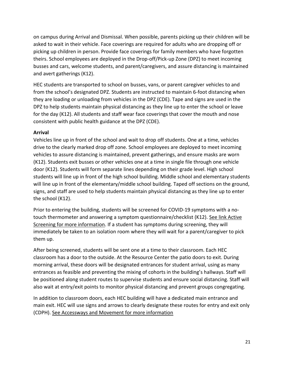on campus during Arrival and Dismissal. When possible, parents picking up their children will be asked to wait in their vehicle. Face coverings are required for adults who are dropping off or picking up children in person. Provide face coverings for family members who have forgotten theirs. School employees are deployed in the Drop-off/Pick-up Zone (DPZ) to meet incoming busses and cars, welcome students, and parent/caregivers, and assure distancing is maintained and avert gatherings (K12).

HEC students are transported to school on busses, vans, or parent caregiver vehicles to and from the school's designated DPZ. Students are instructed to maintain 6-foot distancing when they are loading or unloading from vehicles in the DPZ (CDE). Tape and signs are used in the DPZ to help students maintain physical distancing as they line up to enter the school or leave for the day (K12). All students and staff wear face coverings that cover the mouth and nose consistent with public health guidance at the DPZ (CDE).

#### **Arrival**

Vehicles line up in front of the school and wait to drop off students. One at a time, vehicles drive to the clearly marked drop off zone. School employees are deployed to meet incoming vehicles to assure distancing is maintained, prevent gatherings, and ensure masks are worn (K12). Students exit busses or other vehicles one at a time in single file through one vehicle door (K12). Students will form separate lines depending on their grade level. High school students will line up in front of the high school building. Middle school and elementary students will line up in front of the elementary/middle school building. Taped off sections on the ground, signs, and staff are used to help students maintain physical distancing as they line up to enter the school (K12).

Prior to entering the building, students will be screened for COVID-19 symptoms with a notouch thermometer and answering a symptom questionnaire/checklist (K12). See link Active [Screening for more information.](#page-37-0) If a student has symptoms during screening, they will immediately be taken to an isolation room where they will wait for a parent/caregiver to pick them up.

After being screened, students will be sent one at a time to their classroom. Each HEC classroom has a door to the outside. At the Resource Center the patio doors to exit. During morning arrival, these doors will be designated entrances for student arrival, using as many entrances as feasible and preventing the mixing of cohorts in the building's hallways. Staff will be positioned along student routes to supervise students and ensure social distancing. Staff will also wait at entry/exit points to monitor physical distancing and prevent groups congregating.

In addition to classroom doors, each HEC building will have a dedicated main entrance and main exit. HEC will use signs and arrows to clearly designate these routes for entry and exit only (CDPH). [See Accessways and Movement for more information](#page-9-0)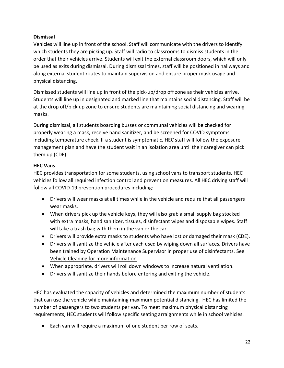#### **Dismissal**

Vehicles will line up in front of the school. Staff will communicate with the drivers to identify which students they are picking up. Staff will radio to classrooms to dismiss students in the order that their vehicles arrive. Students will exit the external classroom doors, which will only be used as exits during dismissal. During dismissal times, staff will be positioned in hallways and along external student routes to maintain supervision and ensure proper mask usage and physical distancing.

Dismissed students will line up in front of the pick-up/drop off zone as their vehicles arrive. Students will line up in designated and marked line that maintains social distancing. Staff will be at the drop off/pick up zone to ensure students are maintaining social distancing and wearing masks.

During dismissal, all students boarding busses or communal vehicles will be checked for properly wearing a mask, receive hand sanitizer, and be screened for COVID symptoms including temperature check. If a student is symptomatic, HEC staff will follow the exposure management plan and have the student wait in an isolation area until their caregiver can pick them up (CDE).

#### **HEC Vans**

HEC provides transportation for some students, using school vans to transport students. HEC vehicles follow all required infection control and prevention measures. All HEC driving staff will follow all COVID-19 prevention procedures including:

- Drivers will wear masks at all times while in the vehicle and require that all passengers wear masks.
- When drivers pick up the vehicle keys, they will also grab a small supply bag stocked with extra masks, hand sanitizer, tissues, disinfectant wipes and disposable wipes. Staff will take a trash bag with them in the van or the car.
- Drivers will provide extra masks to students who have lost or damaged their mask (CDE).
- Drivers will sanitize the vehicle after each used by wiping down all surfaces. Drivers have been trained by Operation Maintenance Supervisor in proper use of disinfectants. [See](#page-35-0)  [Vehicle Cleaning for more information](#page-35-0)
- When appropriate, drivers will roll down windows to increase natural ventilation.
- Drivers will sanitize their hands before entering and exiting the vehicle.

HEC has evaluated the capacity of vehicles and determined the maximum number of students that can use the vehicle while maintaining maximum potential distancing. HEC has limited the number of passengers to two students per van. To meet maximum physical distancing requirements, HEC students will follow specific seating arraignments while in school vehicles.

Each van will require a maximum of one student per row of seats.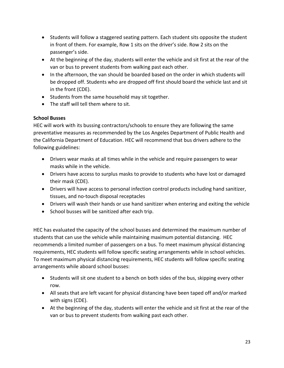- Students will follow a staggered seating pattern. Each student sits opposite the student in front of them. For example, Row 1 sits on the driver's side. Row 2 sits on the passenger's side.
- At the beginning of the day, students will enter the vehicle and sit first at the rear of the van or bus to prevent students from walking past each other.
- In the afternoon, the van should be boarded based on the order in which students will be dropped off. Students who are dropped off first should board the vehicle last and sit in the front (CDE).
- Students from the same household may sit together.
- The staff will tell them where to sit.

#### **School Busses**

HEC will work with its bussing contractors/schools to ensure they are following the same preventative measures as recommended by the Los Angeles Department of Public Health and the California Department of Education. HEC will recommend that bus drivers adhere to the following guidelines:

- Drivers wear masks at all times while in the vehicle and require passengers to wear masks while in the vehicle.
- Drivers have access to surplus masks to provide to students who have lost or damaged their mask (CDE).
- Drivers will have access to personal infection control products including hand sanitizer, tissues, and no-touch disposal receptacles
- Drivers will wash their hands or use hand sanitizer when entering and exiting the vehicle
- School busses will be sanitized after each trip.

HEC has evaluated the capacity of the school busses and determined the maximum number of students that can use the vehicle while maintaining maximum potential distancing. HEC recommends a limited number of passengers on a bus. To meet maximum physical distancing requirements, HEC students will follow specific seating arrangements while in school vehicles. To meet maximum physical distancing requirements, HEC students will follow specific seating arrangements while aboard school busses:

- Students will sit one student to a bench on both sides of the bus, skipping every other row.
- All seats that are left vacant for physical distancing have been taped off and/or marked with signs (CDE).
- At the beginning of the day, students will enter the vehicle and sit first at the rear of the van or bus to prevent students from walking past each other.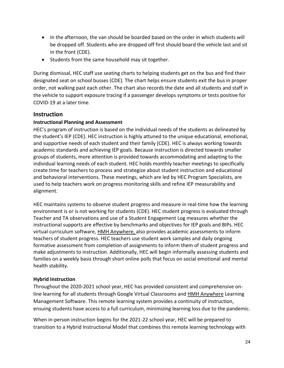- In the afternoon, the van should be boarded based on the order in which students will be dropped off. Students who are dropped off first should board the vehicle last and sit in the front (CDE).
- Students from the same household may sit together.

During dismissal, HEC staff use seating charts to helping students get on the bus and find their designated seat on school busses (CDE). The chart helps ensure students exit the bus in proper order, not walking past each other. The chart also records the date and all students and staff in the vehicle to support exposure tracing if a passenger develops symptoms or tests positive for COVID-19 at a later time.

## **Instruction**

#### **Instructional Planning and Assessment**

HEC's program of instruction is based on the individual needs of the students as delineated by the student's IEP (CDE). HEC instruction is highly attuned to the unique educational, emotional, and supportive needs of each student and their family (CDE). HEC is always working towards academic standards and achieving IEP goals. Because instruction is directed towards smaller groups of students, more attention is provided towards accommodating and adapting to the individual learning needs of each student. HEC holds monthly teacher meetings to specifically create time for teachers to process and strategize about student instruction and educational and behavioral interventions. These meetings, which are led by HEC Program Specialists, are used to help teachers work on progress monitoring skills and refine IEP measurability and alignment.

HEC maintains systems to observe student progress and measure in real-time how the learning environment is or is not working for students (CDE). HEC student progress is evaluated through Teacher and TA observations and use of a Student Engagement Log measures whether the instructional supports are effective by benchmarks and objectives for IEP goals and BIPs. HEC virtual curriculum software, HMH Anywhere, also provides academic assessments to inform teachers of student progress. HEC teachers use student work samples and daily ongoing formative assessment from completion of assignments to inform them of student progress and make adjustments to instruction. Additionally, HEC will begin informally assessing students and families on a weekly basis through short online polls that focus on social emotional and mental health stability.

#### <span id="page-23-0"></span>**Hybrid Instruction**

Throughout the 2020-2021 school year, HEC has provided consistent and comprehensive online learning for all students through Google Virtual Classrooms and HMH Anywhere Learning Management Software. This remote learning system provides a continuity of instruction, ensuing students have access to a full curriculum, minimizing learning loss due to the pandemic.

When in-person instruction begins for the 2021-22 school year, HEC will be prepared to transition to a Hybrid Instructional Model that combines this remote learning technology with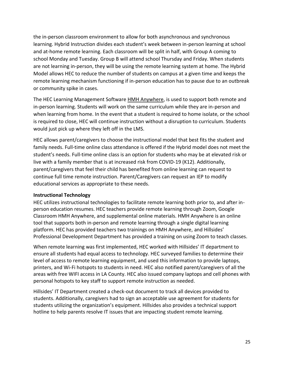the in-person classroom environment to allow for both asynchronous and synchronous learning. Hybrid Instruction divides each student's week between in-person learning at school and at-home remote learning. Each classroom will be split in half, with Group A coming to school Monday and Tuesday. Group B will attend school Thursday and Friday. When students are not learning in-person, they will be using the remote learning system at home. The Hybrid Model allows HEC to reduce the number of students on campus at a given time and keeps the remote learning mechanism functioning if in-person education has to pause due to an outbreak or community spike in cases.

The HEC Learning Management Software HMH Anywhere, is used to support both remote and in-person learning. Students will work on the same curriculum while they are in-person and when learning from home. In the event that a student is required to home isolate, or the school is required to close, HEC will continue instruction without a disruption to curriculum. Students would just pick up where they left off in the LMS.

HEC allows parent/caregivers to choose the instructional model that best fits the student and family needs. Full-time online class attendance is offered if the Hybrid model does not meet the student's needs. Full-time online class is an option for students who may be at elevated risk or live with a family member that is at increased risk from COVID-19 (K12). Additionally, parent/caregivers that feel their child has benefited from online learning can request to continue full time remote instruction. Parent/Caregivers can request an IEP to modify educational services as appropriate to these needs.

#### <span id="page-24-0"></span>**Instructional Technology**

HEC utilizes instructional technologies to facilitate remote learning both prior to, and after inperson education resumes. HEC teachers provide remote learning through Zoom, Google Classroom HMH Anywhere, and supplemental online materials. HMH Anywhere is an online tool that supports both in-person and remote learning through a single digital learning platform. HEC has provided teachers two trainings on HMH Anywhere, and Hillsides' Professional Development Department has provided a training on using Zoom to teach classes.

When remote learning was first implemented, HEC worked with Hillsides' IT department to ensure all students had equal access to technology. HEC surveyed families to determine their level of access to remote learning equipment, and used this information to provide laptops, printers, and Wi-Fi hotspots to students in need. HEC also notified parent/caregivers of all the areas with free WIFI access in LA County. HEC also issued company laptops and cell phones with personal hotspots to key staff to support remote instruction as needed.

Hillsides' IT Department created a check-out document to track all devices provided to students. Additionally, caregivers had to sign an acceptable use agreement for students for students utilizing the organization's equipment. Hillsides also provides a technical support hotline to help parents resolve IT issues that are impacting student remote learning.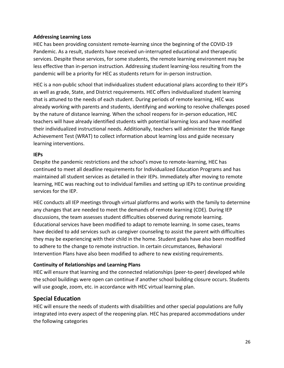#### **Addressing Learning Loss**

HEC has been providing consistent remote-learning since the beginning of the COVID-19 Pandemic. As a result, students have received un-interrupted educational and therapeutic services. Despite these services, for some students, the remote learning environment may be less effective than in-person instruction. Addressing student learning-loss resulting from the pandemic will be a priority for HEC as students return for in-person instruction.

HEC is a non-public school that individualizes student educational plans according to their IEP's as well as grade, State, and District requirements. HEC offers individualized student learning that is attuned to the needs of each student. During periods of remote learning, HEC was already working with parents and students, identifying and working to resolve challenges posed by the nature of distance learning. When the school reopens for in-person education, HEC teachers will have already identified students with potential learning loss and have modified their individualized instructional needs. Additionally, teachers will administer the Wide Range Achievement Test (WRAT) to collect information about learning loss and guide necessary learning interventions.

#### **IEPs**

Despite the pandemic restrictions and the school's move to remote-learning, HEC has continued to meet all deadline requirements for Individualized Education Programs and has maintained all student services as detailed in their IEPs. Immediately after moving to remote learning, HEC was reaching out to individual families and setting up IEPs to continue providing services for the IEP.

HEC conducts all IEP meetings through virtual platforms and works with the family to determine any changes that are needed to meet the demands of remote learning (CDE). During IEP discussions, the team assesses student difficulties observed during remote learning. Educational services have been modified to adapt to remote learning. In some cases, teams have decided to add services such as caregiver counseling to assist the parent with difficulties they may be experiencing with their child in the home. Student goals have also been modified to adhere to the change to remote instruction. In certain circumstances, Behavioral Intervention Plans have also been modified to adhere to new existing requirements.

#### **Continuity of Relationships and Learning Plans**

HEC will ensure that learning and the connected relationships (peer-to-peer) developed while the school buildings were open can continue if another school building closure occurs. Students will use google, zoom, etc. in accordance with HEC virtual learning plan.

#### <span id="page-25-0"></span>**Special Education**

HEC will ensure the needs of students with disabilities and other special populations are fully integrated into every aspect of the reopening plan. HEC has prepared accommodations under the following categories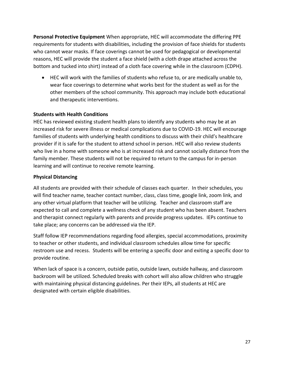**Personal Protective Equipment** When appropriate, HEC will accommodate the differing PPE requirements for students with disabilities, including the provision of face shields for students who cannot wear masks. If face coverings cannot be used for pedagogical or developmental reasons, HEC will provide the student a face shield (with a cloth drape attached across the bottom and tucked into shirt) instead of a cloth face covering while in the classroom (CDPH).

 HEC will work with the families of students who refuse to, or are medically unable to, wear face coverings to determine what works best for the student as well as for the other members of the school community. This approach may include both educational and therapeutic interventions.

#### **Students with Health Conditions**

HEC has reviewed existing student health plans to identify any students who may be at an increased risk for severe illness or medical complications due to COVID-19. HEC will encourage families of students with underlying health conditions to discuss with their child's healthcare provider if it is safe for the student to attend school in person. HEC will also review students who live in a home with someone who is at increased risk and cannot socially distance from the family member. These students will not be required to return to the campus for in-person learning and will continue to receive remote learning.

#### **Physical Distancing**

All students are provided with their schedule of classes each quarter. In their schedules, you will find teacher name, teacher contact number, class, class time, google link, zoom link, and any other virtual platform that teacher will be utilizing. Teacher and classroom staff are expected to call and complete a wellness check of any student who has been absent. Teachers and therapist connect regularly with parents and provide progress updates. IEPs continue to take place; any concerns can be addressed via the IEP.

Staff follow IEP recommendations regarding food allergies, special accommodations, proximity to teacher or other students, and individual classroom schedules allow time for specific restroom use and recess. Students will be entering a specific door and exiting a specific door to provide routine.

When lack of space is a concern, outside patio, outside lawn, outside hallway, and classroom backroom will be utilized. Scheduled breaks with cohort will also allow children who struggle with maintaining physical distancing guidelines. Per their IEPs, all students at HEC are designated with certain eligible disabilities.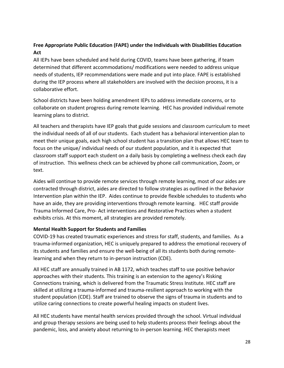## **Free Appropriate Public Education (FAPE) under the Individuals with Disabilities Education Act**

All IEPs have been scheduled and held during COVID, teams have been gathering, if team determined that different accommodations/ modifications were needed to address unique needs of students, IEP recommendations were made and put into place. FAPE is established during the IEP process where all stakeholders are involved with the decision process, it is a collaborative effort.

School districts have been holding amendment IEPs to address immediate concerns, or to collaborate on student progress during remote learning. HEC has provided individual remote learning plans to district.

All teachers and therapists have IEP goals that guide sessions and classroom curriculum to meet the individual needs of all of our students. Each student has a behavioral intervention plan to meet their unique goals, each high school student has a transition plan that allows HEC team to focus on the unique/ individual needs of our student population, and it is expected that classroom staff support each student on a daily basis by completing a wellness check each day of instruction. This wellness check can be achieved by phone call communication, Zoom, or text.

Aides will continue to provide remote services through remote learning, most of our aides are contracted through district, aides are directed to follow strategies as outlined in the Behavior Intervention plan within the IEP. Aides continue to provide flexible schedules to students who have an aide, they are providing interventions through remote learning. HEC staff provide Trauma Informed Care, Pro- Act interventions and Restorative Practices when a student exhibits crisis. At this moment, all strategies are provided remotely.

#### **Mental Health Support for Students and Families**

COVID-19 has created traumatic experiences and stress for staff, students, and families. As a trauma-informed organization, HEC is uniquely prepared to address the emotional recovery of its students and families and ensure the well-being of all its students both during remotelearning and when they return to in-person instruction (CDE).

All HEC staff are annually trained in AB 1172, which teaches staff to use positive behavior approaches with their students. This training is an extension to the agency's Risking Connections training, which is delivered from the Traumatic Stress Institute. HEC staff are skilled at utilizing a trauma-informed and trauma-resilient approach to working with the student population (CDE). Staff are trained to observe the signs of trauma in students and to utilize caring connections to create powerful healing impacts on student lives.

All HEC students have mental health services provided through the school. Virtual individual and group therapy sessions are being used to help students process their feelings about the pandemic, loss, and anxiety about returning to in-person learning. HEC therapists meet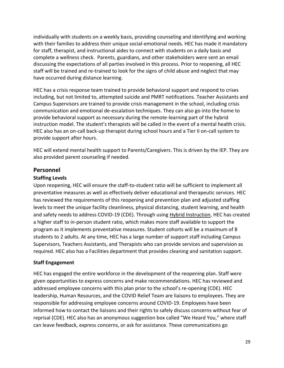individually with students on a weekly basis, providing counseling and identifying and working with their families to address their unique social-emotional needs. HEC has made it mandatory for staff, therapist, and instructional aides to connect with students on a daily basis and complete a wellness check. Parents, guardians, and other stakeholders were sent an email discussing the expectations of all parties involved in this process. Prior to reopening, all HEC staff will be trained and re-trained to look for the signs of child abuse and neglect that may have occurred during distance learning.

HEC has a crisis response team trained to provide behavioral support and respond to crises including, but not limited to, attempted suicide and PMRT notifications. Teacher Assistants and Campus Supervisors are trained to provide crisis management in the school, including crisis communication and emotional de-escalation techniques. They can also go into the home to provide behavioral support as necessary during the remote-learning part of the hybrid instruction model. The student's therapists will be called in the event of a mental health crisis. HEC also has an on-call back-up therapist during school hours and a Tier II on-call system to provide support after hours.

HEC will extend mental health support to Parents/Caregivers. This is driven by the IEP. They are also provided parent counseling if needed.

#### **Personnel**

#### **Staffing Levels**

Upon reopening, HEC will ensure the staff-to-student ratio will be sufficient to implement all preventative measures as well as effectively deliver educational and therapeutic services. HEC has reviewed the requirements of this reopening and prevention plan and adjusted staffing levels to meet the unique facility cleanliness, physical distancing, student learning, and health and safety needs to address COVID-19 (CDE). Through using [Hybrid Instruction,](#page-23-0) HEC has created a higher staff to in-person student ratio, which makes more staff available to support the program as it implements preventative measures. Student cohorts will be a maximum of 8 students to 2 adults. At any time, HEC has a large number of support staff including Campus Supervisors, Teachers Assistants, and Therapists who can provide services and supervision as required. HEC also has a Facilities department that provides cleaning and sanitation support.

#### **Staff Engagement**

HEC has engaged the entire workforce in the development of the reopening plan. Staff were given opportunities to express concerns and make recommendations. HEC has reviewed and addressed employee concerns with this plan prior to the school's re-opening (CDE). HEC leadership, Human Resources, and the COVID Relief Team are liaisons to employees. They are responsible for addressing employee concerns around COVID-19. Employees have been informed how to contact the liaisons and their rights to safely discuss concerns without fear of reprisal (CDE). HEC also has an anonymous suggestion box called "We Heard You," where staff can leave feedback, express concerns, or ask for assistance. These communications go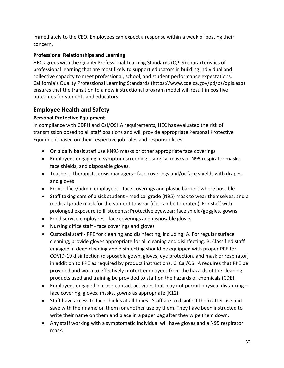immediately to the CEO. Employees can expect a response within a week of posting their concern.

## **Professional Relationships and Learning**

HEC agrees with the Quality Professional Learning Standards (QPLS) characteristics of professional learning that are most likely to support educators in building individual and collective capacity to meet professional, school, and student performance expectations. California's Quality Professional Learning Standards ([https://www.cde.ca.gov/pd/ps/qpls.asp\)](https://www.cde.ca.gov/pd/ps/qpls.asp) ensures that the transition to a new instructional program model will result in positive outcomes for students and educators.

## **Employee Health and Safety**

## **Personal Protective Equipment**

In compliance with CDPH and Cal/OSHA requirements, HEC has evaluated the risk of transmission posed to all staff positions and will provide appropriate Personal Protective Equipment based on their respective job roles and responsibilities:

- On a daily basis staff use KN95 masks or other appropriate face coverings
- Employees engaging in symptom screening surgical masks or N95 respirator masks, face shields, and disposable gloves.
- Teachers, therapists, crisis managers– face coverings and/or face shields with drapes, and gloves
- Front office/admin employees face coverings and plastic barriers where possible
- Staff taking care of a sick student medical grade (N95) mask to wear themselves, and a medical grade mask for the student to wear (if it can be tolerated). For staff with prolonged exposure to ill students: Protective eyewear: face shield/goggles, gowns
- Food service employees face coverings and disposable gloves
- Nursing office staff face coverings and gloves
- Custodial staff PPE for cleaning and disinfecting, including: A. For regular surface cleaning, provide gloves appropriate for all cleaning and disinfecting. B. Classified staff engaged in deep cleaning and disinfecting should be equipped with proper PPE for COVID-19 disinfection (disposable gown, gloves, eye protection, and mask or respirator) in addition to PPE as required by product instructions. C. Cal/OSHA requires that PPE be provided and worn to effectively protect employees from the hazards of the cleaning products used and training be provided to staff on the hazards of chemicals (CDE).
- **Employees engaged in close-contact activities that may not permit physical distancing**  $$ face covering, gloves, masks, gowns as appropriate (K12).
- Staff have access to face shields at all times. Staff are to disinfect them after use and save with their name on them for another use by them. They have been instructed to write their name on them and place in a paper bag after they wipe them down.
- Any staff working with a symptomatic individual will have gloves and a N95 respirator mask.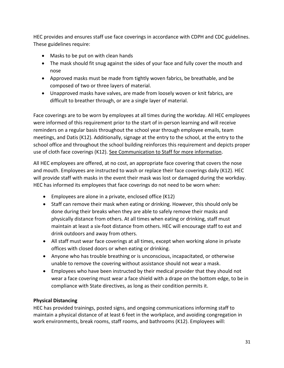HEC provides and ensures staff use face coverings in accordance with CDPH and CDC guidelines. These guidelines require:

- Masks to be put on with clean hands
- The mask should fit snug against the sides of your face and fully cover the mouth and nose
- Approved masks must be made from tightly woven fabrics, be breathable, and be composed of two or three layers of material.
- Unapproved masks have valves, are made from loosely woven or knit fabrics, are difficult to breather through, or are a single layer of material.

Face coverings are to be worn by employees at all times during the workday. All HEC employees were informed of this requirement prior to the start of in-person learning and will receive reminders on a regular basis throughout the school year through employee emails, team meetings, and Datis (K12). Additionally, signage at the entry to the school, at the entry to the school office and throughout the school building reinforces this requirement and depicts proper use of cloth face coverings (K12). [See Communication to Staff for more information.](#page-8-0)

All HEC employees are offered, at no cost, an appropriate face covering that covers the nose and mouth. Employees are instructed to wash or replace their face coverings daily (K12). HEC will provide staff with masks in the event their mask was lost or damaged during the workday. HEC has informed its employees that face coverings do not need to be worn when:

- Employees are alone in a private, enclosed office (K12)
- Staff can remove their mask when eating or drinking. However, this should only be done during their breaks when they are able to safely remove their masks and physically distance from others. At all times when eating or drinking, staff must maintain at least a six-foot distance from others. HEC will encourage staff to eat and drink outdoors and away from others.
- All staff must wear face coverings at all times, except when working alone in private offices with closed doors or when eating or drinking.
- Anyone who has trouble breathing or is unconscious, incapacitated, or otherwise unable to remove the covering without assistance should not wear a mask.
- Employees who have been instructed by their medical provider that they should not wear a face covering must wear a face shield with a drape on the bottom edge, to be in compliance with State directives, as long as their condition permits it.

#### **Physical Distancing**

HEC has provided trainings, posted signs, and ongoing communications informing staff to maintain a physical distance of at least 6 feet in the workplace, and avoiding congregation in work environments, break rooms, staff rooms, and bathrooms (K12). Employees will: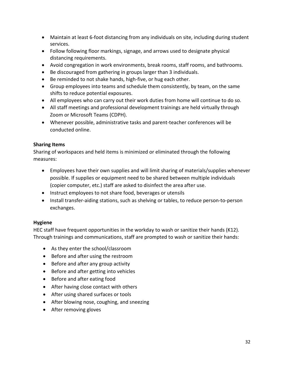- Maintain at least 6-foot distancing from any individuals on site, including during student services.
- Follow following floor markings, signage, and arrows used to designate physical distancing requirements.
- Avoid congregation in work environments, break rooms, staff rooms, and bathrooms.
- Be discouraged from gathering in groups larger than 3 individuals.
- Be reminded to not shake hands, high-five, or hug each other.
- Group employees into teams and schedule them consistently, by team, on the same shifts to reduce potential exposures.
- All employees who can carry out their work duties from home will continue to do so.
- All staff meetings and professional development trainings are held virtually through Zoom or Microsoft Teams (CDPH).
- Whenever possible, administrative tasks and parent-teacher conferences will be conducted online.

#### **Sharing Items**

Sharing of workspaces and held items is minimized or eliminated through the following measures:

- Employees have their own supplies and will limit sharing of materials/supplies whenever possible. If supplies or equipment need to be shared between multiple individuals (copier computer, etc.) staff are asked to disinfect the area after use.
- Instruct employees to not share food, beverages or utensils
- Install transfer-aiding stations, such as shelving or tables, to reduce person-to-person exchanges.

#### <span id="page-31-0"></span>**Hygiene**

HEC staff have frequent opportunities in the workday to wash or sanitize their hands (K12). Through trainings and communications, staff are prompted to wash or sanitize their hands:

- As they enter the school/classroom
- Before and after using the restroom
- Before and after any group activity
- Before and after getting into vehicles
- Before and after eating food
- After having close contact with others
- After using shared surfaces or tools
- After blowing nose, coughing, and sneezing
- After removing gloves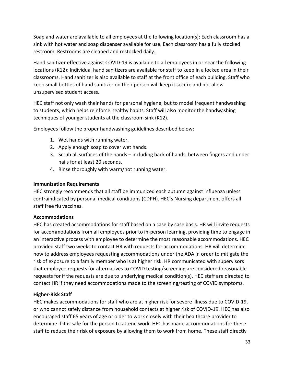Soap and water are available to all employees at the following location(s): Each classroom has a sink with hot water and soap dispenser available for use. Each classroom has a fully stocked restroom. Restrooms are cleaned and restocked daily.

Hand sanitizer effective against COVID-19 is available to all employees in or near the following locations (K12): Individual hand sanitizers are available for staff to keep in a locked area in their classrooms. Hand sanitizer is also available to staff at the front office of each building. Staff who keep small bottles of hand sanitizer on their person will keep it secure and not allow unsupervised student access.

HEC staff not only wash their hands for personal hygiene, but to model frequent handwashing to students, which helps reinforce healthy habits. Staff will also monitor the handwashing techniques of younger students at the classroom sink (K12).

Employees follow the proper handwashing guidelines described below:

- 1. Wet hands with running water.
- 2. Apply enough soap to cover wet hands.
- 3. Scrub all surfaces of the hands including back of hands, between fingers and under nails for at least 20 seconds.
- 4. Rinse thoroughly with warm/hot running water.

#### **Immunization Requirements**

HEC strongly recommends that all staff be immunized each autumn against influenza unless contraindicated by personal medical conditions (CDPH). HEC's Nursing department offers all staff free flu vaccines.

#### **Accommodations**

HEC has created accommodations for staff based on a case by case basis. HR will invite requests for accommodations from all employees prior to in-person learning, providing time to engage in an interactive process with employee to determine the most reasonable accommodations. HEC provided staff two weeks to contact HR with requests for accommodations. HR will determine how to address employees requesting accommodations under the ADA in order to mitigate the risk of exposure to a family member who is at higher risk. HR communicated with supervisors that employee requests for alternatives to COVID testing/screening are considered reasonable requests for if the requests are due to underlying medical condition(s). HEC staff are directed to contact HR if they need accommodations made to the screening/testing of COVID symptoms.

#### **Higher-Risk Staff**

HEC makes accommodations for staff who are at higher risk for severe illness due to COVID-19, or who cannot safely distance from household contacts at higher risk of COVID-19. HEC has also encouraged staff 65 years of age or older to work closely with their healthcare provider to determine if it is safe for the person to attend work. HEC has made accommodations for these staff to reduce their risk of exposure by allowing them to work from home. These staff directly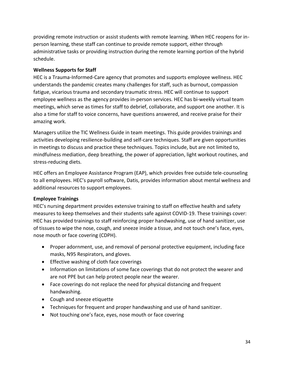providing remote instruction or assist students with remote learning. When HEC reopens for inperson learning, these staff can continue to provide remote support, either through administrative tasks or providing instruction during the remote learning portion of the hybrid schedule.

#### **Wellness Supports for Staff**

HEC is a Trauma-Informed-Care agency that promotes and supports employee wellness. HEC understands the pandemic creates many challenges for staff, such as burnout, compassion fatigue, vicarious trauma and secondary traumatic stress. HEC will continue to support employee wellness as the agency provides in-person services. HEC has bi-weekly virtual team meetings, which serve as times for staff to debrief, collaborate, and support one another. It is also a time for staff to voice concerns, have questions answered, and receive praise for their amazing work.

Managers utilize the TIC Wellness Guide in team meetings. This guide provides trainings and activities developing resilience-building and self-care techniques. Staff are given opportunities in meetings to discuss and practice these techniques. Topics include, but are not limited to, mindfulness mediation, deep breathing, the power of appreciation, light workout routines, and stress-reducing diets.

HEC offers an Employee Assistance Program (EAP), which provides free outside tele-counseling to all employees. HEC's payroll software, Datis, provides information about mental wellness and additional resources to support employees.

#### **Employee Trainings**

HEC's nursing department provides extensive training to staff on effective health and safety measures to keep themselves and their students safe against COVID-19. These trainings cover: HEC has provided trainings to staff reinforcing proper handwashing, use of hand sanitizer, use of tissues to wipe the nose, cough, and sneeze inside a tissue, and not touch one's face, eyes, nose mouth or face covering (CDPH).

- Proper adornment, use, and removal of personal protective equipment, including face masks, N95 Respirators, and gloves.
- **•** Effective washing of cloth face coverings
- Information on limitations of some face coverings that do not protect the wearer and are not PPE but can help protect people near the wearer.
- Face coverings do not replace the need for physical distancing and frequent handwashing.
- Cough and sneeze etiquette
- Techniques for frequent and proper handwashing and use of hand sanitizer.
- Not touching one's face, eyes, nose mouth or face covering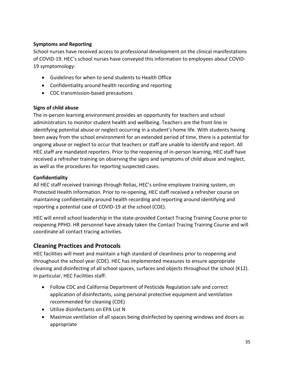#### **Symptoms and Reporting**

School nurses have received access to professional development on the clinical manifestations of COVID-19. HEC's school nurses have conveyed this information to employees about COVID-19 symptomology:

- Guidelines for when to send students to Health Office
- Confidentiality around health recording and reporting
- CDC transmission-based precautions

#### **Signs of child abuse**

The in-person learning environment provides an opportunity for teachers and school administrators to monitor student health and wellbeing. Teachers are the front line in identifying potential abuse or neglect occurring in a student's home life. With students having been away from the school environment for an extended period of time, there is a potential for ongoing abuse or neglect to occur that teachers or staff are unable to identify and report. All HEC staff are mandated reporters. Prior to the reopening of in-person learning, HEC staff have received a refresher training on observing the signs and symptoms of child abuse and neglect, as well as the procedures for reporting suspected cases.

#### **Confidentiality**

All HEC staff received trainings through Relias, HEC's online employee training system, on Protected Health Information. Prior to re-opening, HEC staff received a refresher course on maintaining confidentiality around health recording and reporting around identifying and reporting a potential case of COVID-19 at the school (CDE).

HEC will enroll school leadership in the state-provided Contact Tracing Training Course prior to reopening PPHD. HR personnel have already taken the Contact Tracing Training Course and will coordinate all contact tracing activities.

## **Cleaning Practices and Protocols**

HEC facilities will meet and maintain a high standard of cleanliness prior to reopening and throughout the school year (CDE). HEC has implemented measures to ensure appropriate cleaning and disinfecting of all school spaces, surfaces and objects throughout the school (K12). In particular, HEC Facilities staff:

- Follow CDC and California Department of Pesticide Regulation safe and correct application of disinfectants, using personal protective equipment and ventilation recommended for cleaning (CDE)
- Utilize disinfectants on EPA List N
- Maximize ventilation of all spaces being disinfected by opening windows and doors as appropriate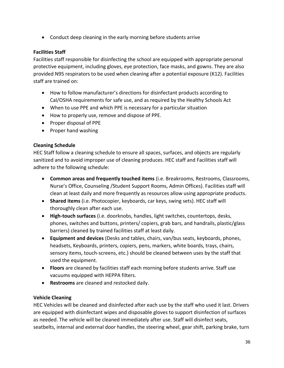Conduct deep cleaning in the early morning before students arrive

#### **Facilities Staff**

Facilities staff responsible for disinfecting the school are equipped with appropriate personal protective equipment, including gloves, eye protection, face masks, and gowns. They are also provided N95 respirators to be used when cleaning after a potential exposure (K12). Facilities staff are trained on:

- How to follow manufacturer's directions for disinfectant products according to Cal/OSHA requirements for safe use, and as required by the Healthy Schools Act
- When to use PPE and which PPE is necessary for a particular situation
- How to properly use, remove and dispose of PPE.
- Proper disposal of PPE
- Proper hand washing

#### **Cleaning Schedule**

HEC Staff follow a cleaning schedule to ensure all spaces, surfaces, and objects are regularly sanitized and to avoid improper use of cleaning produces. HEC staff and Facilities staff will adhere to the following schedule:

- **Common areas and frequently touched items** (i.e. Breakrooms, Restrooms, Classrooms, Nurse's Office, Counseling /Student Support Rooms, Admin Offices). Facilities staff will clean at least daily and more frequently as resources allow using appropriate products.
- **Shared items** (i.e. Photocopier, keyboards, car keys, swing sets). HEC staff will thoroughly clean after each use.
- **High-touch surfaces** (i.e. doorknobs, handles, light switches, countertops, desks, phones, switches and buttons, printers/ copiers, grab bars, and handrails, plastic/glass barriers) cleaned by trained facilities staff at least daily.
- **Equipment and devices** (Desks and tables, chairs, van/bus seats, keyboards, phones, headsets, Keyboards, printers, copiers, pens, markers, white boards, trays, chairs, sensory items, touch-screens, etc.) should be cleaned between uses by the staff that used the equipment.
- **Floors** are cleaned by facilities staff each morning before students arrive. Staff use vacuums equipped with HEPPA filters.
- **Restrooms** are cleaned and restocked daily.

#### <span id="page-35-0"></span>**Vehicle Cleaning**

HEC Vehicles will be cleaned and disinfected after each use by the staff who used it last. Drivers are equipped with disinfectant wipes and disposable gloves to support disinfection of surfaces as needed. The vehicle will be cleaned immediately after use. Staff will disinfect seats, seatbelts, internal and external door handles, the steering wheel, gear shift, parking brake, turn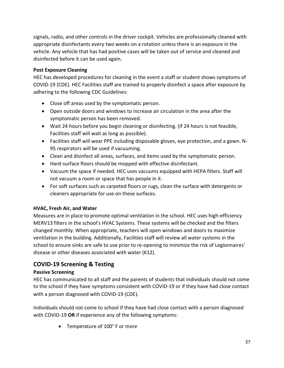signals, radio, and other controls in the driver cockpit. Vehicles are professionally cleaned with appropriate disinfectants every two weeks on a rotation unless there is an exposure in the vehicle. Any vehicle that has had positive cases will be taken out of service and cleaned and disinfected before it can be used again.

#### **Post Exposure Cleaning**

HEC has developed procedures for cleaning in the event a staff or student shows symptoms of COVID-19 (CDE). HEC Facilities staff are trained to properly disinfect a space after exposure by adhering to the following CDC Guidelines:

- Close off areas used by the symptomatic person.
- Open outside doors and windows to increase air circulation in the area after the symptomatic person has been removed.
- Wait 24 hours before you begin cleaning or disinfecting. (If 24 hours is not feasible, Facilities staff will wait as long as possible).
- Facilities staff will wear PPE including disposable gloves, eye protection, and a gown. N-95 respirators will be used if vacuuming.
- Clean and disinfect all areas, surfaces, and items used by the symptomatic person.
- Hard-surface floors should be mopped with effective disinfectant.
- Vacuum the space if needed. HEC uses vacuums equipped with HEPA filters. Staff will not vacuum a room or space that has people in it.
- For soft surfaces such as carpeted floors or rugs, clean the surface with detergents or cleaners appropriate for use on these surfaces.

#### **HVAC, Fresh Air, and Water**

Measures are in place to promote optimal ventilation in the school. HEC uses high-efficiency MERV13 filters in the school's HVAC Systems. These systems will be checked and the filters changed monthly. When appropriate, teachers will open windows and doors to maximize ventilation in the building. Additionally, Facilities staff will review all water systems in the school to ensure sinks are safe to use prior to re-opening to minimize the risk of Legionnaires' disease or other diseases associated with water (K12).

## **COVID-19 Screening & Testing**

#### **Passive Screening**

HEC has communicated to all staff and the parents of students that individuals should not come to the school if they have symptoms consistent with COVID-19 or if they have had close contact with a person diagnosed with COVID-19 (CDE).

Individuals should not come to school if they have had close contact with a person diagnosed with COVID-19 **OR** if experience any of the following symptoms:

• Temperature of 100° F or more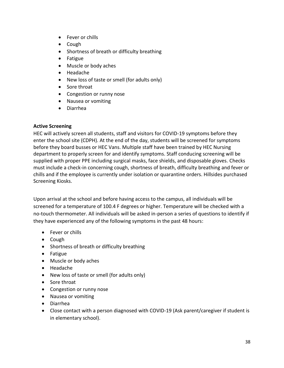- Fever or chills
- Cough
- Shortness of breath or difficulty breathing
- Fatigue
- Muscle or body aches
- Headache
- New loss of taste or smell (for adults only)
- Sore throat
- Congestion or runny nose
- Nausea or vomiting
- Diarrhea

#### <span id="page-37-0"></span>**Active Screening**

HEC will actively screen all students, staff and visitors for COVID-19 symptoms before they enter the school site (CDPH). At the end of the day, students will be screened for symptoms before they board busses or HEC Vans. Multiple staff have been trained by HEC Nursing department to properly screen for and identify symptoms. Staff conducing screening will be supplied with proper PPE including surgical masks, face shields, and disposable gloves. Checks must include a check-in concerning cough, shortness of breath, difficulty breathing and fever or chills and if the employee is currently under isolation or quarantine orders. Hillsides purchased Screening Kiosks.

Upon arrival at the school and before having access to the campus, all individuals will be screened for a temperature of 100.4 F degrees or higher. Temperature will be checked with a no-touch thermometer. All individuals will be asked in-person a series of questions to identify if they have experienced any of the following symptoms in the past 48 hours:

- Fever or chills
- Cough
- Shortness of breath or difficulty breathing
- Fatigue
- Muscle or body aches
- Headache
- New loss of taste or smell (for adults only)
- Sore throat
- Congestion or runny nose
- Nausea or vomiting
- Diarrhea
- Close contact with a person diagnosed with COVID-19 (Ask parent/caregiver if student is in elementary school).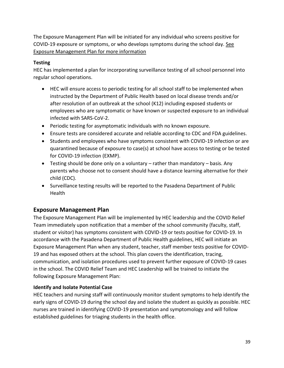The Exposure Management Plan will be initiated for any individual who screens positive for COVID-19 exposure or symptoms, or who develops symptoms during the school day. [See](#page-38-0)  [Exposure Management Plan for more information](#page-38-0)

#### **Testing**

HEC has implemented a plan for incorporating surveillance testing of all school personnel into regular school operations.

- HEC will ensure access to periodic testing for all school staff to be implemented when instructed by the Department of Public Health based on local disease trends and/or after resolution of an outbreak at the school (K12) including exposed students or employees who are symptomatic or have known or suspected exposure to an individual infected with SARS-CoV-2.
- Periodic testing for asymptomatic individuals with no known exposure.
- Ensure tests are considered accurate and reliable according to CDC and FDA guidelines.
- Students and employees who have symptoms consistent with COVID-19 infection or are quarantined because of exposure to case(s) at school have access to testing or be tested for COVID-19 infection (EXMP).
- Testing should be done only on a voluntary rather than mandatory basis. Any parents who choose not to consent should have a distance learning alternative for their child (CDC).
- Surveillance testing results will be reported to the Pasadena Department of Public Health

#### <span id="page-38-0"></span>**Exposure Management Plan**

The Exposure Management Plan will be implemented by HEC leadership and the COVID Relief Team immediately upon notification that a member of the school community (faculty, staff, student or visitor) has symptoms consistent with COVID-19 or tests positive for COVID-19. In accordance with the Pasadena Department of Public Health guidelines, HEC will initiate an Exposure Management Plan when any student, teacher, staff member tests positive for COVID-19 and has exposed others at the school. This plan covers the identification, tracing, communication, and isolation procedures used to prevent further exposure of COVID-19 cases in the school. The COVID Relief Team and HEC Leadership will be trained to initiate the following Exposure Management Plan:

#### **Identify and Isolate Potential Case**

HEC teachers and nursing staff will continuously monitor student symptoms to help identify the early signs of COVID-19 during the school day and isolate the student as quickly as possible. HEC nurses are trained in identifying COVID-19 presentation and symptomology and will follow established guidelines for triaging students in the health office.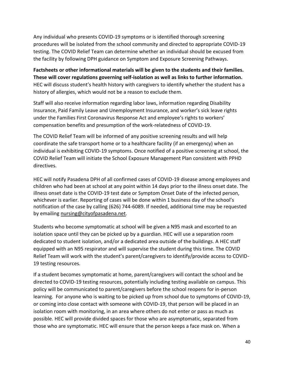Any individual who presents COVID-19 symptoms or is identified thorough screening procedures will be isolated from the school community and directed to appropriate COVID-19 testing. The COVID Relief Team can determine whether an individual should be excused from the facility by following DPH guidance on Symptom and Exposure Screening Pathways.

**Factsheets or other informational materials will be given to the students and their families. These will cover regulations governing self-isolation as well as links to further information.**  HEC will discuss student's health history with caregivers to identify whether the student has a history of allergies, which would not be a reason to exclude them.

Staff will also receive information regarding labor laws, information regarding Disability Insurance, Paid Family Leave and Unemployment Insurance, and worker's sick leave rights under the Families First Coronavirus Response Act and employee's rights to workers' compensation benefits and presumption of the work-relatedness of COVID-19.

The COVID Relief Team will be informed of any positive screening results and will help coordinate the safe transport home or to a healthcare facility (if an emergency) when an individual is exhibiting COVID-19 symptoms. Once notified of a positive screening at school, the COVID Relief Team will initiate the School Exposure Management Plan consistent with PPHD directives.

HEC will notify Pasadena DPH of all confirmed cases of COVID-19 disease among employees and children who had been at school at any point within 14 days prior to the illness onset date. The illness onset date is the COVID-19 test date or Symptom Onset Date of the infected person, whichever is earlier. Reporting of cases will be done within 1 business day of the school's notification of the case by calling (626) 744-6089. If needed, additional time may be requested by emailin[g nursing@cityofpasadena.net.](mailto:nursing@cityofpasadena.net)

Students who become symptomatic at school will be given a N95 mask and escorted to an isolation space until they can be picked up by a guardian. HEC will use a separation room dedicated to student isolation, and/or a dedicated area outside of the buildings. A HEC staff equipped with an N95 respirator and will supervise the student during this time. The COVID Relief Team will work with the student's parent/caregivers to identify/provide access to COVID-19 testing resources.

If a student becomes symptomatic at home, parent/caregivers will contact the school and be directed to COVID-19 testing resources, potentially including testing available on campus. This policy will be communicated to parent/caregivers before the school reopens for in-person learning. For anyone who is waiting to be picked up from school due to symptoms of COVID-19, or coming into close contact with someone with COVID-19, that person will be placed in an isolation room with monitoring, in an area where others do not enter or pass as much as possible. HEC will provide divided spaces for those who are asymptomatic, separated from those who are symptomatic. HEC will ensure that the person keeps a face mask on. When a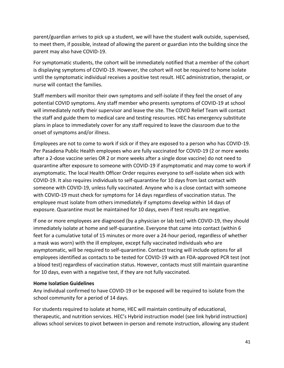parent/guardian arrives to pick up a student, we will have the student walk outside, supervised, to meet them, if possible, instead of allowing the parent or guardian into the building since the parent may also have COVID-19.

For symptomatic students, the cohort will be immediately notified that a member of the cohort is displaying symptoms of COVID-19. However, the cohort will not be required to home isolate until the symptomatic individual receives a positive test result. HEC administration, therapist, or nurse will contact the families.

Staff members will monitor their own symptoms and self-isolate if they feel the onset of any potential COVID symptoms. Any staff member who presents symptoms of COVID-19 at school will immediately notify their supervisor and leave the site. The COVID Relief Team will contact the staff and guide them to medical care and testing resources. HEC has emergency substitute plans in place to immediately cover for any staff required to leave the classroom due to the onset of symptoms and/or illness.

Employees are not to come to work if sick or if they are exposed to a person who has COVID-19. Per Pasadena Public Health employees who are fully vaccinated for COVID-19 (2 or more weeks after a 2-dose vaccine series OR 2 or more weeks after a single dose vaccine) do not need to quarantine after exposure to someone with COVID-19 if asymptomatic and may come to work if asymptomatic. The local Health Officer Order requires everyone to self-isolate when sick with COVID-19. It also requires individuals to self-quarantine for 10 days from last contact with someone with COVID-19, unless fully vaccinated. Anyone who is a close contact with someone with COVID-19 must check for symptoms for 14 days regardless of vaccination status. The employee must isolate from others immediately if symptoms develop within 14 days of exposure. Quarantine must be maintained for 10 days, even if test results are negative.

If one or more employees are diagnosed (by a physician or lab test) with COVID-19, they should immediately isolate at home and self-quarantine. Everyone that came into contact (within 6 feet for a cumulative total of 15 minutes or more over a 24-hour period, regardless of whether a mask was worn) with the ill employee, except fully vaccinated individuals who are asymptomatic, will be required to self-quarantine. Contact tracing will include options for all employees identified as contacts to be tested for COVID-19 with an FDA-approved PCR test (not a blood test) regardless of vaccination status. However, contacts must still maintain quarantine for 10 days, even with a negative test, if they are not fully vaccinated.

#### **Home Isolation Guidelines**

Any individual confirmed to have COVID-19 or be exposed will be required to isolate from the school community for a period of 14 days.

For students required to isolate at home, HEC will maintain continuity of educational, therapeutic, and nutrition services. HEC's Hybrid instruction model (see link hybrid instruction) allows school services to pivot between in-person and remote instruction, allowing any student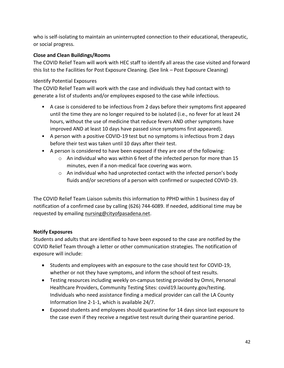who is self-isolating to maintain an uninterrupted connection to their educational, therapeutic, or social progress.

### **Close and Clean Buildings/Rooms**

The COVID Relief Team will work with HEC staff to identify all areas the case visited and forward this list to the Facilities for Post Exposure Cleaning. (See link – Post Exposure Cleaning)

## Identify Potential Exposures

The COVID Relief Team will work with the case and individuals they had contact with to generate a list of students and/or employees exposed to the case while infectious.

- A case is considered to be infectious from 2 days before their symptoms first appeared until the time they are no longer required to be isolated (i.e., no fever for at least 24 hours, without the use of medicine that reduce fevers AND other symptoms have improved AND at least 10 days have passed since symptoms first appeared).
- A person with a positive COVID-19 test but no symptoms is infectious from 2 days before their test was taken until 10 days after their test.
- A person is considered to have been exposed if they are one of the following:
	- o An individual who was within 6 feet of the infected person for more than 15 minutes, even if a non-medical face covering was worn.
	- $\circ$  An individual who had unprotected contact with the infected person's body fluids and/or secretions of a person with confirmed or suspected COVID-19.

The COVID Relief Team Liaison submits this information to PPHD within 1 business day of notification of a confirmed case by calling (626) 744-6089. If needed, additional time may be requested by emailing [nursing@cityofpasadena.net.](mailto:nursing@cityofpasadena.net)

## **Notify Exposures**

Students and adults that are identified to have been exposed to the case are notified by the COVID Relief Team through a letter or other communication strategies. The notification of exposure will include:

- Students and employees with an exposure to the case should test for COVID-19, whether or not they have symptoms, and inform the school of test results.
- Testing resources including weekly on-campus testing provided by Omni, Personal Healthcare Providers, Community Testing Sites: covid19.lacounty.gov/testing. Individuals who need assistance finding a medical provider can call the LA County Information line 2-1-1, which is available 24/7.
- Exposed students and employees should quarantine for 14 days since last exposure to the case even if they receive a negative test result during their quarantine period.